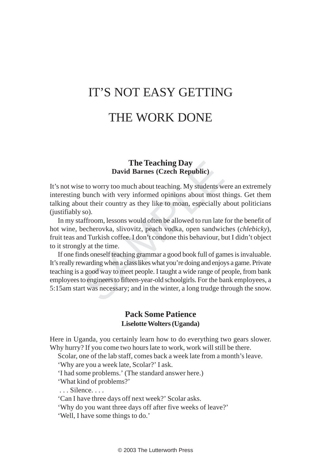# IT'S NOT EASY GETTING THE WORK DONE

#### **The Teaching Day David Barnes (Czech Republic)**

It's not wise to worry too much about teaching. My students were an extremely interesting bunch with very informed opinions about most things. Get them talking about their country as they like to moan, especially about politicians (justifiably so).

In my staffroom, lessons would often be allowed to run late for the benefit of hot wine, becherovka, slivovitz, peach vodka, open sandwiches (*chlebicky*), fruit teas and Turkish coffee. I don't condone this behaviour, but I didn't object to it strongly at the time.

**The Teaching Day**<br>**David Barnes (Czech Republic)**<br>e to worry too much about teaching. My students w<br>bunch with very informed opinions about most t<br>out their country as they like to moan, especially as<br>o).<br>affroom, lessons If one finds oneself teaching grammar a good book full of games is invaluable. It's really rewarding when a class likes what you're doing and enjoys a game. Private teaching is a good way to meet people. I taught a wide range of people, from bank employees to engineers to fifteen-year-old schoolgirls. For the bank employees, a 5:15am start was necessary; and in the winter, a long trudge through the snow.

### **Pack Some Patience Liselotte Wolters (Uganda)**

Here in Uganda, you certainly learn how to do everything two gears slower. Why hurry? If you come two hours late to work, work will still be there.

Scolar, one of the lab staff, comes back a week late from a month's leave.

'Why are you a week late, Scolar?' I ask.

'I had some problems.' (The standard answer here.)

'What kind of problems?'

. . . Silence. . . .

'Can I have three days off next week?' Scolar asks.

'Why do you want three days off after five weeks of leave?'

'Well, I have some things to do.'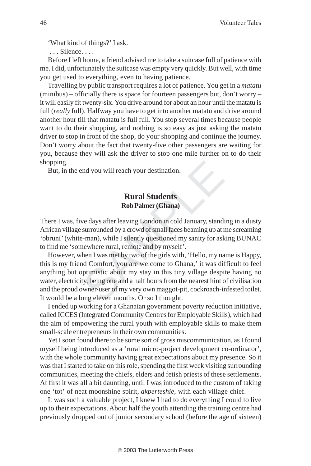'What kind of things?' I ask.

. . . Silence. . . .

Before I left home, a friend advised me to take a suitcase full of patience with me. I did, unfortunately the suitcase was empty very quickly. But well, with time you get used to everything, even to having patience.

Travelling by public transport requires a lot of patience. You get in a *matatu* (minibus) – officially there is space for fourteen passengers but, don't worry – it will easily fit twenty-six. You drive around for about an hour until the matatu is full (*really* full). Halfway you have to get into another matatu and drive around another hour till that matatu is full full. You stop several times because people want to do their shopping, and nothing is so easy as just asking the matatu driver to stop in front of the shop, do your shopping and continue the journey. Don't worry about the fact that twenty-five other passengers are waiting for you, because they will ask the driver to stop one mile further on to do their shopping.

But, in the end you will reach your destination.

## **Rural Students Rob Palmer (Ghana)**

There I was, five days after leaving London in cold January, standing in a dusty African village surrounded by a crowd of small faces beaming up at me screaming *'*obruni*'* (white-man), while I silently questioned my sanity for asking BUNAC to find me 'somewhere rural, remote and by myself'.

**Example 18 All Students**<br> **Example 18 All Students**<br> **Example 18 All Students**<br> **Rob Palmer (Ghana)**<br>
ve days after leaving London in cold January, stand<br>
surrounded by a crowd of small faces beaming up at 1<br>
e-man), whil However, when I was met by two of the girls with, 'Hello, my name is Happy, this is my friend Comfort, you are welcome to Ghana,' it was difficult to feel anything but optimistic about my stay in this tiny village despite having no water, electricity, being one and a half hours from the nearest hint of civilisation and the proud owner/user of my very own maggot-pit, cockroach-infested toilet. It would be a long eleven months. Or so I thought.

I ended up working for a Ghanaian government poverty reduction initiative, called ICCES (Integrated Community Centres for Employable Skills), which had the aim of empowering the rural youth with employable skills to make them small-scale entrepreneurs in their own communities.

Yet I soon found there to be some sort of gross miscommunication, as I found myself being introduced as a 'rural micro-project development co-ordinator', with the whole community having great expectations about my presence. So it was that I started to take on this role, spending the first week visiting surrounding communities, meeting the chiefs, elders and fetish priests of these settlements. At first it was all a bit daunting, until I was introduced to the custom of taking one 'tot' of neat moonshine spirit, *akperteshie*, with each village chief.

It was such a valuable project, I knew I had to do everything I could to live up to their expectations. About half the youth attending the training centre had previously dropped out of junior secondary school (before the age of sixteen)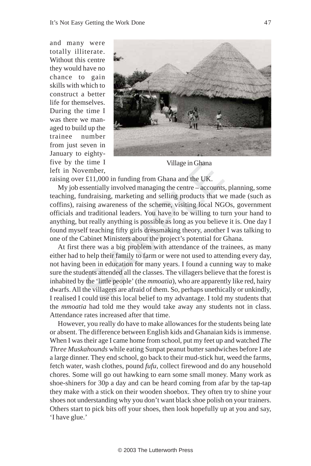and many were totally illiterate. Without this centre they would have no chance to gain skills with which to construct a better life for themselves. During the time I was there we managed to build up the trainee number from just seven in January to eightyfive by the time I left in November,



Village in Ghana

raising over £11,000 in funding from Ghana and the UK.

My job essentially involved managing the centre – accounts, planning, some teaching, fundraising, marketing and selling products that we made (such as coffins), raising awareness of the scheme, visiting local NGOs, government officials and traditional leaders. You have to be willing to turn your hand to anything, but really anything is possible as long as you believe it is. One day I found myself teaching fifty girls dressmaking theory, another I was talking to one of the Cabinet Ministers about the project's potential for Ghana.

e time I Village in Ghana<br>vember,<br>r £11,000 in funding from Ghana and the UK.<br>sssentially involved managing the centre – accounts<br>undraising, marketing and selling products that w<br>ising awareness of the scheme, visiting lo At first there was a big problem with attendance of the trainees, as many either had to help their family to farm or were not used to attending every day, not having been in education for many years. I found a cunning way to make sure the students attended all the classes. The villagers believe that the forest is inhabited by the 'little people' (the *mmoatia*), who are apparently like red, hairy dwarfs. All the villagers are afraid of them. So, perhaps unethically or unkindly, I realised I could use this local belief to my advantage. I told my students that the *mmoatia* had told me they would take away any students not in class. Attendance rates increased after that time.

However, you really do have to make allowances for the students being late or absent. The difference between English kids and Ghanaian kids is immense. When I was their age I came home from school, put my feet up and watched *The Three Muskahounds* while eating Sunpat peanut butter sandwiches before I ate a large dinner. They end school, go back to their mud-stick hut, weed the farms, fetch water, wash clothes, pound *fufu*, collect firewood and do any household chores. Some will go out hawking to earn some small money. Many work as shoe-shiners for 30p a day and can be heard coming from afar by the tap-tap they make with a stick on their wooden shoebox. They often try to shine your shoes not understanding why you don't want black shoe polish on your trainers. Others start to pick bits off your shoes, then look hopefully up at you and say, 'I have glue.'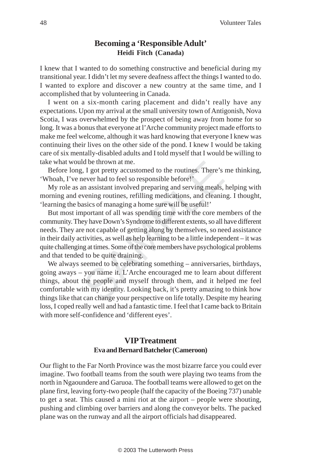## **Becoming a 'Responsible Adult' Heidi Fitch (Canada)**

I knew that I wanted to do something constructive and beneficial during my transitional year. I didn't let my severe deafness affect the things I wanted to do. I wanted to explore and discover a new country at the same time, and I accomplished that by volunteering in Canada.

I went on a six-month caring placement and didn't really have any expectations. Upon my arrival at the small university town of Antigonish, Nova Scotia, I was overwhelmed by the prospect of being away from home for so long. It was a bonus that everyone at l'Arche community project made efforts to make me feel welcome, although it was hard knowing that everyone I knew was continuing their lives on the other side of the pond. I knew I would be taking care of six mentally-disabled adults and I told myself that I would be willing to take what would be thrown at me.

Before long, I got pretty accustomed to the routines. There's me thinking, 'Whoah, I've never had to feel so responsible before!'

My role as an assistant involved preparing and serving meals, helping with morning and evening routines, refilling medications, and cleaning. I thought, 'learning the basics of managing a home sure will be useful!'

Id be thrown at me.<br>
I, I got pretty accustomed to the routines. There's<br>
never had to feel so responsible before!'<br>
an assistant involved preparing and serving meals,<br>
vening routines, refilling medications, and cleanin<br> But most important of all was spending time with the core members of the community. They have Down's Syndrome to different extents, so all have different needs. They are not capable of getting along by themselves, so need assistance in their daily activities, as well as help learning to be a little independent – it was quite challenging at times. Some of the core members have psychological problems and that tended to be quite draining.

We always seemed to be celebrating something – anniversaries, birthdays, going aways – you name it. L'Arche encouraged me to learn about different things, about the people and myself through them, and it helped me feel comfortable with my identity. Looking back, it's pretty amazing to think how things like that can change your perspective on life totally. Despite my hearing loss, I coped really well and had a fantastic time. I feel that I came back to Britain with more self-confidence and 'different eyes'.

# **VIP Treatment Eva and Bernard Batchelor (Cameroon)**

Our flight to the Far North Province was the most bizarre farce you could ever imagine. Two football teams from the south were playing two teams from the north in Ngaoundere and Garuoa. The football teams were allowed to get on the plane first, leaving forty-two people (half the capacity of the Boeing 737) unable to get a seat. This caused a mini riot at the airport – people were shouting, pushing and climbing over barriers and along the conveyor belts. The packed plane was on the runway and all the airport officials had disappeared.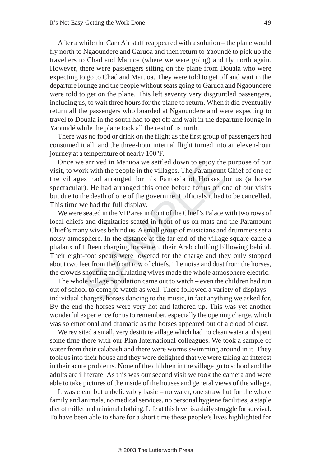After a while the Cam Air staff reappeared with a solution – the plane would fly north to Ngaoundere and Garuoa and then return to Yaoundé to pick up the travellers to Chad and Maruoa (where we were going) and fly north again. However, there were passengers sitting on the plane from Douala who were expecting to go to Chad and Maruoa. They were told to get off and wait in the departure lounge and the people without seats going to Garuoa and Ngaoundere were told to get on the plane. This left seventy very disgruntled passengers, including us, to wait three hours for the plane to return. When it did eventually return all the passengers who boarded at Ngaoundere and were expecting to travel to Douala in the south had to get off and wait in the departure lounge in Yaoundé while the plane took all the rest of us north.

There was no food or drink on the flight as the first group of passengers had consumed it all, and the three-hour internal flight turned into an eleven-hour journey at a temperature of nearly 100°F.

Once we arrived in Maruoa we settled down to enjoy the purpose of our visit, to work with the people in the villages. The Paramount Chief of one of the villages had arranged for his Fantasia of Horses for us (a horse spectacular). He had arranged this once before for us on one of our visits but due to the death of one of the government officials it had to be cancelled. This time we had the full display.

e arrived in Maruoa we settled down to enjoy the<br>ork with the people in the villages. The Paramoun<br>es had arranged for his Fantasia of Horses +<br>r). He had arranged this once before for us on c<br>the death of one of the gover We were seated in the VIP area in front of the Chief's Palace with two rows of local chiefs and dignitaries seated in front of us on mats and the Paramount Chief's many wives behind us. A small group of musicians and drummers set a noisy atmosphere. In the distance at the far end of the village square came a phalanx of fifteen charging horsemen, their Arab clothing billowing behind. Their eight-foot spears were lowered for the charge and they only stopped about two feet from the front row of chiefs. The noise and dust from the horses, the crowds shouting and ululating wives made the whole atmosphere electric.

The whole village population came out to watch – even the children had run out of school to come to watch as well. There followed a variety of displays – individual charges, horses dancing to the music, in fact anything we asked for. By the end the horses were very hot and lathered up. This was yet another wonderful experience for us to remember, especially the opening charge, which was so emotional and dramatic as the horses appeared out of a cloud of dust.

We revisited a small, very destitute village which had no clean water and spent some time there with our Plan International colleagues. We took a sample of water from their calabash and there were worms swimming around in it. They took us into their house and they were delighted that we were taking an interest in their acute problems. None of the children in the village go to school and the adults are illiterate. As this was our second visit we took the camera and were able to take pictures of the inside of the houses and general views of the village.

It was clean but unbelievably basic – no water, one straw hut for the whole family and animals, no medical services, no personal hygiene facilities, a staple diet of millet and minimal clothing. Life at this level is a daily struggle for survival. To have been able to share for a short time these people's lives highlighted for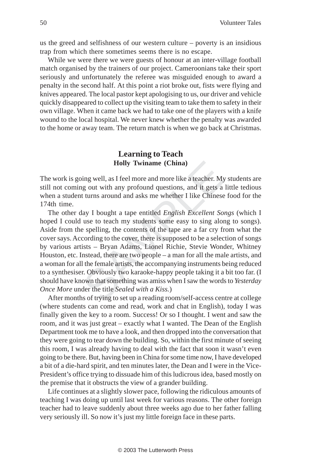us the greed and selfishness of our western culture – poverty is an insidious trap from which there sometimes seems there is no escape.

While we were there we were guests of honour at an inter-village football match organised by the trainers of our project. Cameroonians take their sport seriously and unfortunately the referee was misguided enough to award a penalty in the second half. At this point a riot broke out, fists were flying and knives appeared. The local pastor kept apologising to us, our driver and vehicle quickly disappeared to collect up the visiting team to take them to safety in their own village. When it came back we had to take one of the players with a knife wound to the local hospital. We never knew whether the penalty was awarded to the home or away team. The return match is when we go back at Christmas.

### **Learning to Teach Holly Twiname (China)**

The work is going well, as I feel more and more like a teacher. My students are still not coming out with any profound questions, and it gets a little tedious when a student turns around and asks me whether I like Chinese food for the 174th time.

**Holly Twiname (China)**<br>
bing well, as I feel more and more like a teacher. My<br>
g out with any profound questions, and it gets a<br>
t turns around and asks me whether I like Chinese<br>
lay I bought a tape entitled *English Ex* The other day I bought a tape entitled *English Excellent Songs* (which I hoped I could use to teach my students some easy to sing along to songs). Aside from the spelling, the contents of the tape are a far cry from what the cover says. According to the cover, there is supposed to be a selection of songs by various artists – Bryan Adams, Lionel Richie, Stevie Wonder, Whitney Houston, etc. Instead, there are two people – a man for all the male artists, and a woman for all the female artists, the accompanying instruments being reduced to a synthesiser. Obviously two karaoke-happy people taking it a bit too far. (I should have known that something was amiss when I saw the words to *Yesterday Once More* under the title *Sealed with a Kiss.* )

After months of trying to set up a reading room/self-access centre at college (where students can come and read, work and chat in English), today I was finally given the key to a room. Success! Or so I thought. I went and saw the room, and it was just great – exactly what I wanted. The Dean of the English Department took me to have a look, and then dropped into the conversation that they were going to tear down the building. So, within the first minute of seeing this room, I was already having to deal with the fact that soon it wasn't even going to be there. But, having been in China for some time now, I have developed a bit of a die-hard spirit, and ten minutes later, the Dean and I were in the Vice-President's office trying to dissuade him of this ludicrous idea, based mostly on the premise that it obstructs the view of a grander building.

Life continues at a slightly slower pace, following the ridiculous amounts of teaching I was doing up until last week for various reasons. The other foreign teacher had to leave suddenly about three weeks ago due to her father falling very seriously ill. So now it's just my little foreign face in these parts.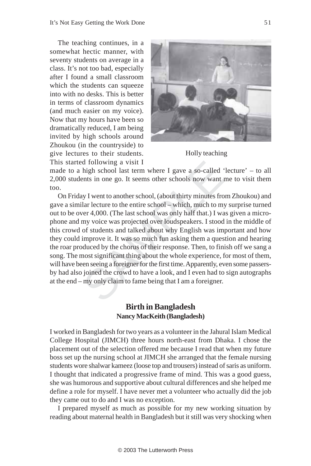The teaching continues, in a somewhat hectic manner, with seventy students on average in a class. It's not too bad, especially after I found a small classroom which the students can squeeze into with no desks. This is better in terms of classroom dynamics (and much easier on my voice). Now that my hours have been so dramatically reduced, I am being invited by high schools around Zhoukou (in the countryside) to give lectures to their students. This started following a visit I



Holly teaching

made to a high school last term where I gave a so-called 'lecture' – to all 2,000 students in one go. It seems other schools now want me to visit them too.

d following a visit I<br>high school last term where I gave a so-called<br>ents in one go. It seems other schools now want<br>ay I went to another school, (about thirty minutes frc<br>ilar lecture to the entire school – which, much to On Friday I went to another school, (about thirty minutes from Zhoukou) and gave a similar lecture to the entire school – which, much to my surprise turned out to be over 4,000. (The last school was only half that.) I was given a microphone and my voice was projected over loudspeakers. I stood in the middle of this crowd of students and talked about why English was important and how they could improve it. It was so much fun asking them a question and hearing the roar produced by the chorus of their response. Then, to finish off we sang a song. The most significant thing about the whole experience, for most of them, will have been seeing a foreigner for the first time. Apparently, even some passersby had also joined the crowd to have a look, and I even had to sign autographs at the end – my only claim to fame being that I am a foreigner.

#### **Birth in Bangladesh Nancy MacKeith (Bangladesh)**

I worked in Bangladesh for two years as a volunteer in the Jahural Islam Medical College Hospital (JIMCH) three hours north-east from Dhaka. I chose the placement out of the selection offered me because I read that when my future boss set up the nursing school at JIMCH she arranged that the female nursing students wore shalwar kameez (loose top and trousers) instead of saris as uniform. I thought that indicated a progressive frame of mind. This was a good guess, she was humorous and supportive about cultural differences and she helped me define a role for myself. I have never met a volunteer who actually did the job they came out to do and I was no exception.

I prepared myself as much as possible for my new working situation by reading about maternal health in Bangladesh but it still was very shocking when